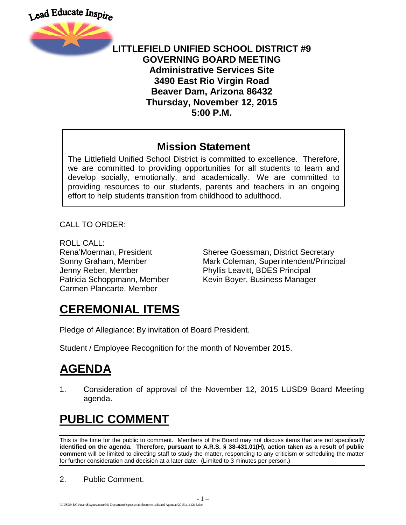



#### **LITTLEFIELD UNIFIED SCHOOL DISTRICT #9 GOVERNING BOARD MEETING Administrative Services Site 3490 East Rio Virgin Road Beaver Dam, Arizona 86432 Thursday, November 12, 2015 5:00 P.M.**

#### **Mission Statement**

The Littlefield Unified School District is committed to excellence. Therefore, we are committed to providing opportunities for all students to learn and develop socially, emotionally, and academically. We are committed to providing resources to our students, parents and teachers in an ongoing effort to help students transition from childhood to adulthood.

CALL TO ORDER:

ROLL CALL: Jenny Reber, Member Phyllis Leavitt, BDES Principal Carmen Plancarte, Member

Rena'Moerman, President Sheree Goessman, District Secretary Sonny Graham, Member **Mark Coleman, Superintendent/Principal** Patricia Schoppmann, Member Kevin Boyer, Business Manager

## **CEREMONIAL ITEMS**

Pledge of Allegiance: By invitation of Board President.

Student / Employee Recognition for the month of November 2015.

# **AGENDA**

1. Consideration of approval of the November 12, 2015 LUSD9 Board Meeting agenda.

# **PUBLIC COMMENT**

This is the time for the public to comment. Members of the Board may not discuss items that are not specifically **identified on the agenda. Therefore, pursuant to A.R.S. § 38-431.01(H), action taken as a result of public comment** will be limited to directing staff to study the matter, responding to any criticism or scheduling the matter for further consideration and decision at a later date. (Limited to 3 minutes per person.)

2. Public Comment.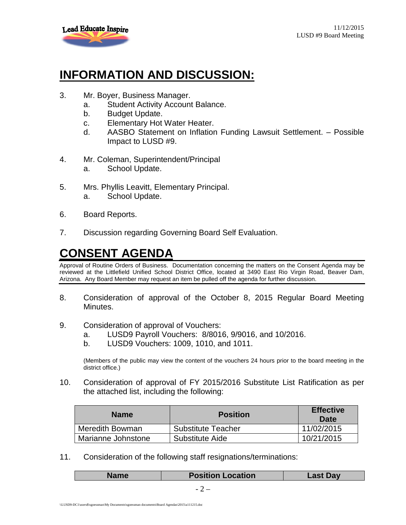

### **INFORMATION AND DISCUSSION:**

- 3. Mr. Boyer, Business Manager.
	- a. Student Activity Account Balance.
	- b. Budget Update.
	- c. Elementary Hot Water Heater.
	- d. AASBO Statement on Inflation Funding Lawsuit Settlement. Possible Impact to LUSD #9.
- 4. Mr. Coleman, Superintendent/Principal
	- a. School Update.
- 5. Mrs. Phyllis Leavitt, Elementary Principal. a. School Update.
- 6. Board Reports.
- 7. Discussion regarding Governing Board Self Evaluation.

# **CONSENT AGENDA**

Approval of Routine Orders of Business. Documentation concerning the matters on the Consent Agenda may be reviewed at the Littlefield Unified School District Office, located at 3490 East Rio Virgin Road, Beaver Dam, Arizona. Any Board Member may request an item be pulled off the agenda for further discussion.

- 8. Consideration of approval of the October 8, 2015 Regular Board Meeting Minutes.
- 9. Consideration of approval of Vouchers:
	- a. LUSD9 Payroll Vouchers: 8/8016, 9/9016, and 10/2016.
	- b. LUSD9 Vouchers: 1009, 1010, and 1011.

(Members of the public may view the content of the vouchers 24 hours prior to the board meeting in the district office.)

10. Consideration of approval of FY 2015/2016 Substitute List Ratification as per the attached list, including the following:

| <b>Name</b>        | <b>Position</b>    | <b>Effective</b><br>Date |
|--------------------|--------------------|--------------------------|
| Meredith Bowman    | Substitute Teacher | 11/02/2015               |
| Marianne Johnstone | Substitute Aide    | 10/21/2015               |

11. Consideration of the following staff resignations/terminations:

| <b>Name</b> | <b>Position Location</b> | ∟ast Day |
|-------------|--------------------------|----------|
|             |                          |          |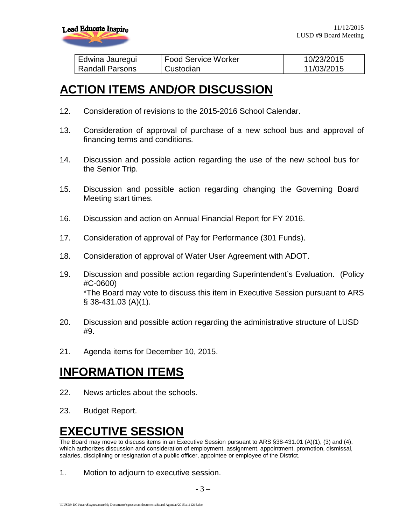

| Edwina Jauregui        | <b>Food Service Worker</b> | 10/23/2015 |
|------------------------|----------------------------|------------|
| <b>Randall Parsons</b> | Custodian                  | 11/03/2015 |

#### **ACTION ITEMS AND/OR DISCUSSION**

- 12. Consideration of revisions to the 2015-2016 School Calendar.
- 13. Consideration of approval of purchase of a new school bus and approval of financing terms and conditions.
- 14. Discussion and possible action regarding the use of the new school bus for the Senior Trip.
- 15. Discussion and possible action regarding changing the Governing Board Meeting start times.
- 16. Discussion and action on Annual Financial Report for FY 2016.
- 17. Consideration of approval of Pay for Performance (301 Funds).
- 18. Consideration of approval of Water User Agreement with ADOT.
- 19. Discussion and possible action regarding Superintendent's Evaluation. (Policy #C-0600) \*The Board may vote to discuss this item in Executive Session pursuant to ARS § 38-431.03 (A)(1).
- 20. Discussion and possible action regarding the administrative structure of LUSD #9.
- 21. Agenda items for December 10, 2015.

#### **INFORMATION ITEMS**

- 22. News articles about the schools.
- 23. Budget Report.

#### **EXECUTIVE SESSION**

The Board may move to discuss items in an Executive Session pursuant to ARS §38-431.01 (A)(1), (3) and (4), which authorizes discussion and consideration of employment, assignment, appointment, promotion, dismissal, salaries, disciplining or resignation of a public officer, appointee or employee of the District.

1. Motion to adjourn to executive session.